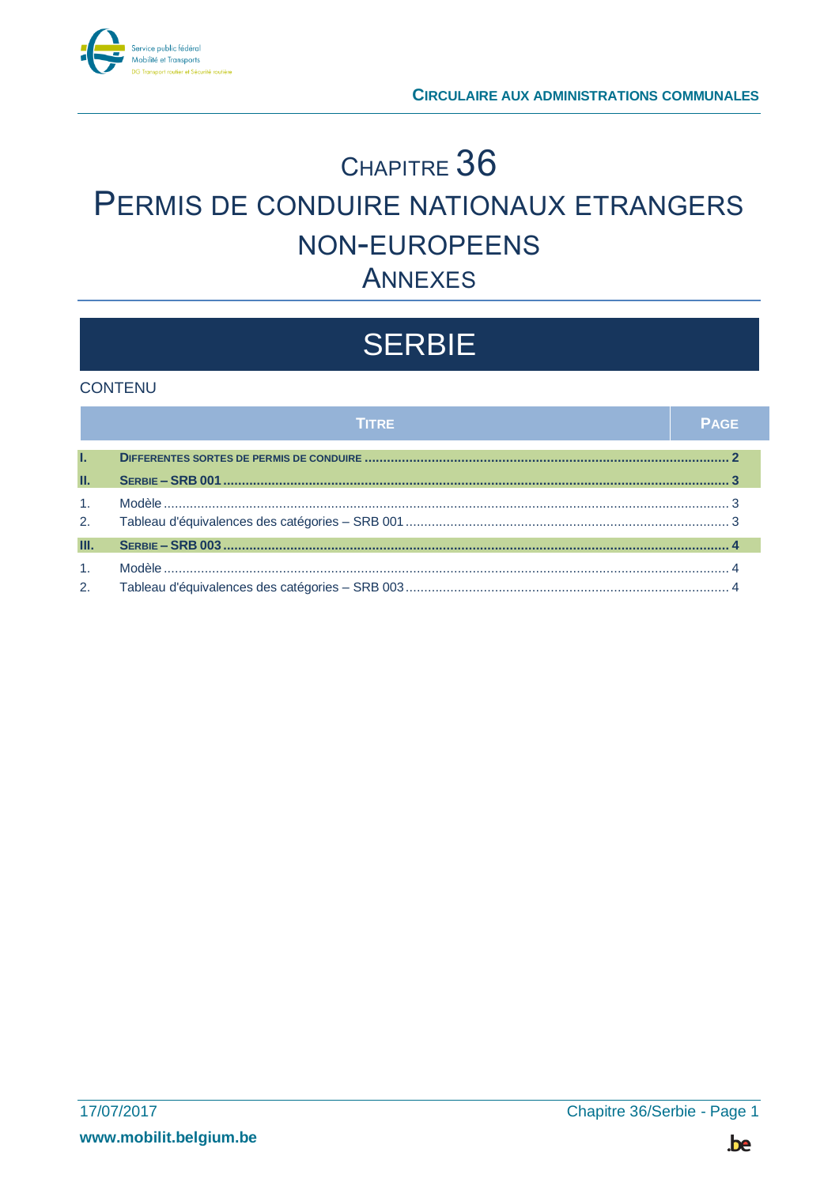

## CHAPITRE 36 PERMIS DE CONDUIRE NATIONAUX ETRANGERS NON-EUROPEENS **ANNEXES**

# **SERBIE**

### **CONTENU**

|                | <b>TITRE</b> | <b>PAGE</b> |
|----------------|--------------|-------------|
| L.             |              |             |
| П.             |              |             |
| 1 <sub>1</sub> |              |             |
| 2.             |              |             |
| Ш.             |              |             |
| 1 <sub>1</sub> |              |             |
| 2.             |              |             |

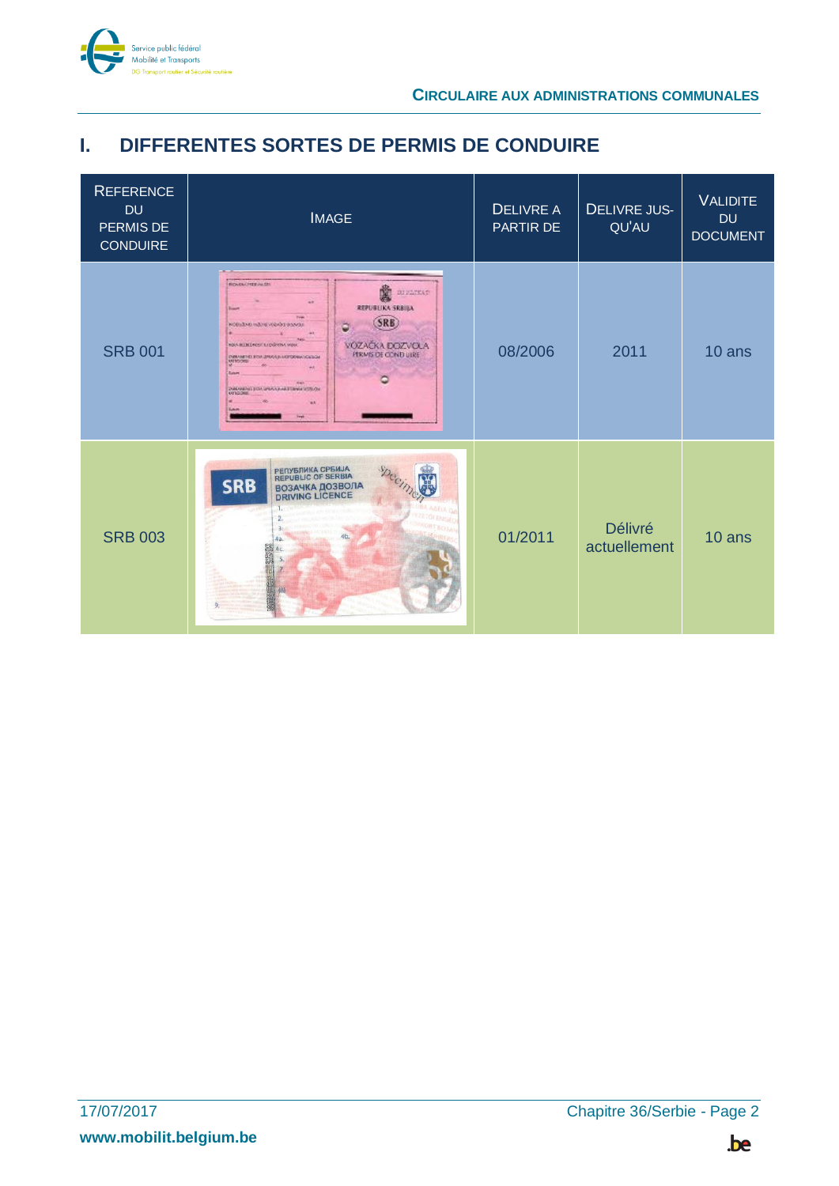

## <span id="page-1-0"></span>**I. DIFFERENTES SORTES DE PERMIS DE CONDUIRE**

| <b>REFERENCE</b><br><b>DU</b><br>PERMIS DE<br><b>CONDUIRE</b> | <b>IMAGE</b>                                                                                                                                                                                                                                                                                                           | <b>DELIVRE A</b><br>PARTIR DE | <b>DELIVRE JUS-</b><br>QU'AU | <b>VALIDITE</b><br><b>DU</b><br><b>DOCUMENT</b> |
|---------------------------------------------------------------|------------------------------------------------------------------------------------------------------------------------------------------------------------------------------------------------------------------------------------------------------------------------------------------------------------------------|-------------------------------|------------------------------|-------------------------------------------------|
| <b>SRB 001</b>                                                | <b>ROVENCHEEVALDS</b><br>DIVATEAT<br><b>SALE</b><br><b>REPUBLIKA SRBIJA</b><br><b>SRB</b><br>ö<br>KODULING INSTITUTION ON BUILDING<br>VOZAČKA DOZVOLA<br><b>REC-ROBEDAUST RAD-SYENC MENT</b><br><b>PERMIS OF CONDUIRE</b><br><b>DWAMPELEOA 2RAN BARTONIKA CIGGA</b><br><b>MENSORIA</b><br>DUMMENT FOX UNKNOWN FORWARDS | 08/2006                       | 2011                         | 10 ans                                          |
| <b>SRB 003</b>                                                | PERYBRIKA CPBIAJA<br>REPUBLIC OF SERBIA<br><b>SRB</b><br><b>BO3AYKA ДОЗВОЛА</b><br>DRIVING LICENCE<br>$\mathcal{R}$                                                                                                                                                                                                    | 01/2011                       | Délivré<br>actuellement      | 10 ans                                          |

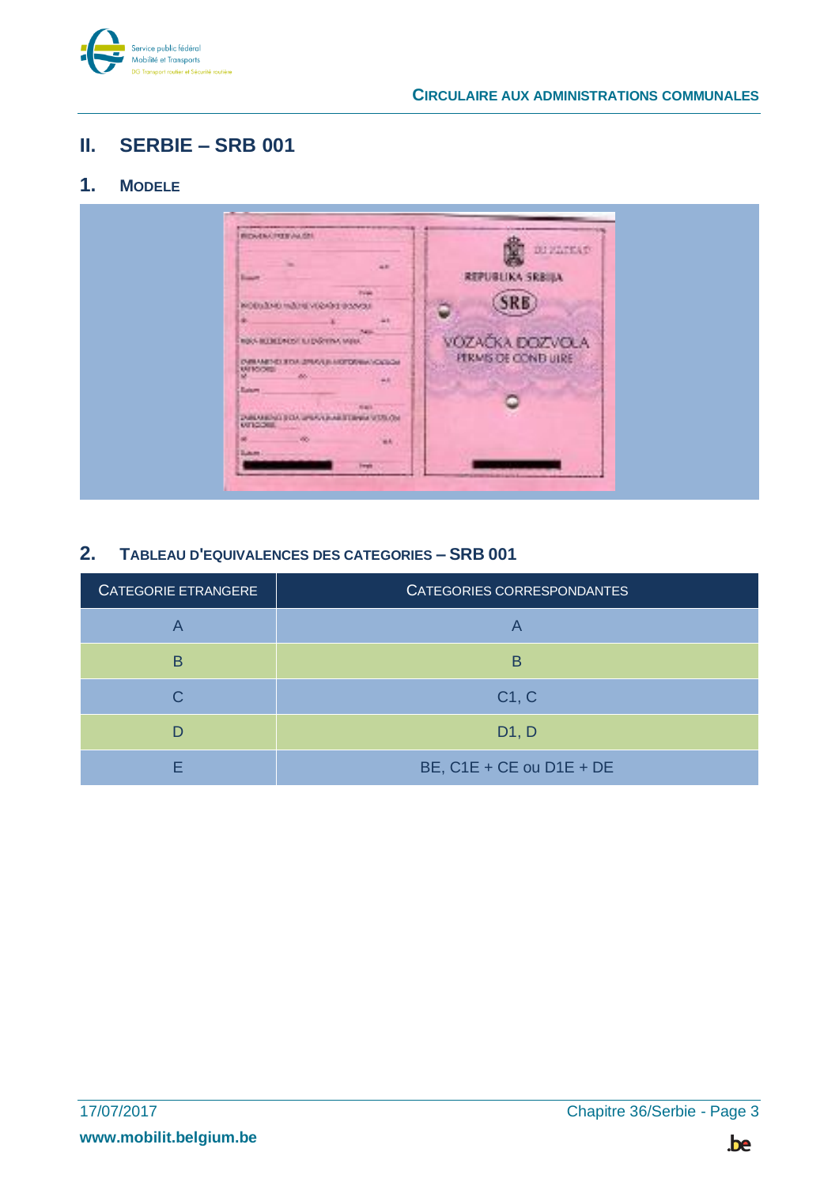

#### <span id="page-2-0"></span>Ш. **SERBIE - SRB 001**

#### <span id="page-2-1"></span> $1<sub>1</sub>$ **MODELE**



#### <span id="page-2-2"></span> $2.$ TABLEAU D'EQUIVALENCES DES CATEGORIES - SRB 001

| CATEGORIE ETRANGERE | CATEGORIES CORRESPONDANTES |
|---------------------|----------------------------|
|                     |                            |
| B                   | В                          |
|                     | C1, C                      |
|                     | D1, D                      |
|                     | BE, C1E + CE ou D1E + DE   |